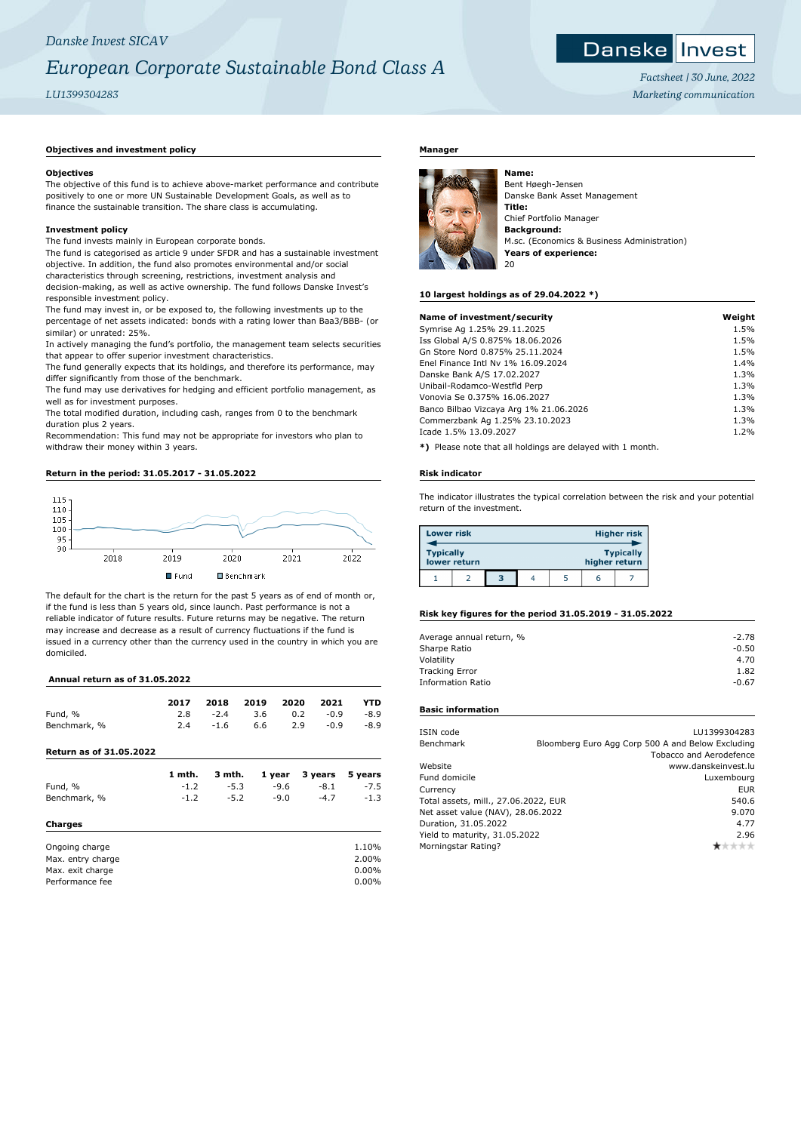### *Danske Invest SICAV*

## *European Corporate Sustainable Bond Class A*

*LU1399304283*

## Danske Invest *Factsheet | 30 June, 2022*

*Marketing communication*

#### **Objectives and investment policy**

#### **Objectives**

The objective of this fund is to achieve above-market performance and contribute positively to one or more UN Sustainable Development Goals, as well as to finance the sustainable transition. The share class is accumulating.

#### **Investment policy**

The fund invests mainly in European corporate bonds.

The fund is categorised as article 9 under SFDR and has a sustainable investment objective. In addition, the fund also promotes environmental and/or social characteristics through screening, restrictions, investment analysis and decision-making, as well as active ownership. The fund follows Danske Invest's responsible investment policy.

The fund may invest in, or be exposed to, the following investments up to the percentage of net assets indicated: bonds with a rating lower than Baa3/BBB- (or similar) or unrated: 25%.

In actively managing the fund's portfolio, the management team selects securities that appear to offer superior investment characteristics.

The fund generally expects that its holdings, and therefore its performance, may differ significantly from those of the benchmark.

The fund may use derivatives for hedging and efficient portfolio management, as well as for investment purposes.

The total modified duration, including cash, ranges from 0 to the benchmark duration plus 2 years.

Recommendation: This fund may not be appropriate for investors who plan to withdraw their money within 3 years.

#### **Return in the period: 31.05.2017 - 31.05.2022**



The default for the chart is the return for the past 5 years as of end of month or, if the fund is less than 5 years old, since launch. Past performance is not a reliable indicator of future results. Future returns may be negative. The return may increase and decrease as a result of currency fluctuations if the fund is issued in a currency other than the currency used in the country in which you are domiciled.

#### **Annual return as of 31.05.2022**

| 2017   | 2018   | 2019 |                            | 2021                     | YTD                           |
|--------|--------|------|----------------------------|--------------------------|-------------------------------|
| 2.8    | $-2.4$ | 3.6  |                            | $-0.9$                   | $-8.9$                        |
| 2.4    | $-1.6$ | 6.6  |                            | $-0.9$                   | $-8.9$                        |
|        |        |      |                            |                          |                               |
| 1 mth. |        |      |                            |                          | 5 years                       |
| $-1.2$ |        |      |                            | -8.1                     | $-7.5$                        |
| $-1.2$ |        |      |                            | $-4.7$                   | $-1.3$                        |
|        |        |      |                            |                          |                               |
|        |        |      |                            |                          | 1.10%                         |
|        |        |      |                            |                          | 2.00%                         |
|        |        |      |                            |                          | 0.00%                         |
|        |        |      |                            |                          | $0.00\%$                      |
|        |        |      | 3 mth.<br>$-5.3$<br>$-5.2$ | 1 year<br>-9.6<br>$-9.0$ | 2020<br>0.2<br>2.9<br>3 years |

#### **Manager**



Bent Høegh-Jensen Danske Bank Asset Management **Title:** Chief Portfolio Manager **Background:** M.sc. (Economics & Business Administration) **Years of experience:** 20

#### **10 largest holdings as of 29.04.2022 \*)**

| Name of investment/security                                                                                    | Weight |
|----------------------------------------------------------------------------------------------------------------|--------|
| Symrise Ag 1.25% 29.11.2025                                                                                    | 1.5%   |
| Iss Global A/S 0.875% 18.06.2026                                                                               | 1.5%   |
| Gn Store Nord 0.875% 25.11.2024                                                                                | 1.5%   |
| Enel Finance Intl Ny 1% 16.09.2024                                                                             | 1.4%   |
| Danske Bank A/S 17.02.2027                                                                                     | 1.3%   |
| Unibail-Rodamco-Westfld Perp                                                                                   | 1.3%   |
| Vonovia Se 0.375% 16.06.2027                                                                                   | 1.3%   |
| Banco Bilbao Vizcaya Arg 1% 21.06.2026                                                                         | 1.3%   |
| Commerzbank Ag 1.25% 23.10.2023                                                                                | 1.3%   |
| Icade 1.5% 13.09.2027                                                                                          | 1.2%   |
| MA - Discorde controlleria del la ciudad de constante de la constanta de la constantidad de la constantidad de |        |

**\*)** Please note that all holdings are delayed with 1 month.

#### **Risk indicator**

The indicator illustrates the typical correlation between the risk and your potential return of the investment.

| <b>Lower risk</b> |              |   |  |               | <b>Higher risk</b> |
|-------------------|--------------|---|--|---------------|--------------------|
| <b>Typically</b>  | lower return |   |  | higher return | <b>Typically</b>   |
|                   |              | 3 |  | r             |                    |

#### **Risk key figures for the period 31.05.2019 - 31.05.2022**

| Average annual return, % | $-2.78$ |
|--------------------------|---------|
| Sharpe Ratio             | $-0.50$ |
| Volatility               | 4.70    |
| <b>Tracking Error</b>    | 1.82    |
| <b>Information Ratio</b> | $-0.67$ |

#### **Basic information**

| LU1399304283                                      |
|---------------------------------------------------|
| Bloomberg Euro Agg Corp 500 A and Below Excluding |
| <b>Tobacco and Aerodefence</b>                    |
| www.danskeinvest.lu                               |
| Luxembourg                                        |
| <b>EUR</b>                                        |
| 540.6                                             |
| 9.070                                             |
| 4.77                                              |
| 2.96                                              |
|                                                   |
|                                                   |